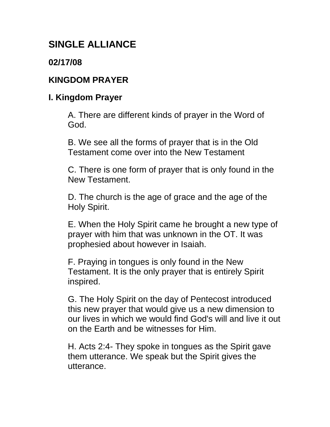# **SINGLE ALLIANCE**

## **02/17/08**

## **KINGDOM PRAYER**

#### **I. Kingdom Prayer**

A. There are different kinds of prayer in the Word of God.

B. We see all the forms of prayer that is in the Old Testament come over into the New Testament

C. There is one form of prayer that is only found in the New Testament.

D. The church is the age of grace and the age of the Holy Spirit.

E. When the Holy Spirit came he brought a new type of prayer with him that was unknown in the OT. It was prophesied about however in Isaiah.

F. Praying in tongues is only found in the New Testament. It is the only prayer that is entirely Spirit inspired.

G. The Holy Spirit on the day of Pentecost introduced this new prayer that would give us a new dimension to our lives in which we would find God's will and live it out on the Earth and be witnesses for Him.

H. Acts 2:4- They spoke in tongues as the Spirit gave them utterance. We speak but the Spirit gives the utterance.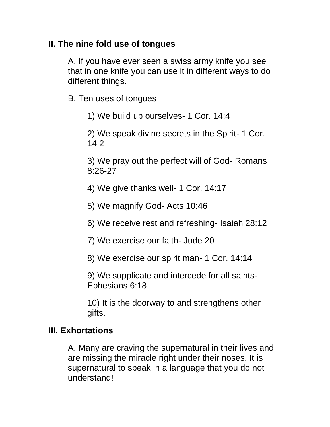## **II. The nine fold use of tongues**

A. If you have ever seen a swiss army knife you see that in one knife you can use it in different ways to do different things.

B. Ten uses of tongues

1) We build up ourselves- 1 Cor. 14:4

2) We speak divine secrets in the Spirit- 1 Cor. 14:2

3) We pray out the perfect will of God- Romans 8:26-27

- 4) We give thanks well- 1 Cor. 14:17
- 5) We magnify God- Acts 10:46
- 6) We receive rest and refreshing- Isaiah 28:12
- 7) We exercise our faith- Jude 20
- 8) We exercise our spirit man- 1 Cor. 14:14

9) We supplicate and intercede for all saints-Ephesians 6:18

10) It is the doorway to and strengthens other gifts.

# **III. Exhortations**

A. Many are craving the supernatural in their lives and are missing the miracle right under their noses. It is supernatural to speak in a language that you do not understand!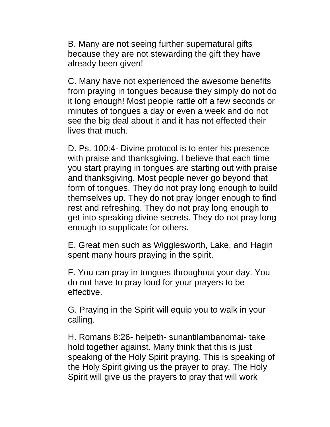B. Many are not seeing further supernatural gifts because they are not stewarding the gift they have already been given!

C. Many have not experienced the awesome benefits from praying in tongues because they simply do not do it long enough! Most people rattle off a few seconds or minutes of tongues a day or even a week and do not see the big deal about it and it has not effected their lives that much.

D. Ps. 100:4- Divine protocol is to enter his presence with praise and thanksgiving. I believe that each time you start praying in tongues are starting out with praise and thanksgiving. Most people never go beyond that form of tongues. They do not pray long enough to build themselves up. They do not pray longer enough to find rest and refreshing. They do not pray long enough to get into speaking divine secrets. They do not pray long enough to supplicate for others.

E. Great men such as Wigglesworth, Lake, and Hagin spent many hours praying in the spirit.

F. You can pray in tongues throughout your day. You do not have to pray loud for your prayers to be effective.

G. Praying in the Spirit will equip you to walk in your calling.

H. Romans 8:26- helpeth- sunantilambanomai- take hold together against. Many think that this is just speaking of the Holy Spirit praying. This is speaking of the Holy Spirit giving us the prayer to pray. The Holy Spirit will give us the prayers to pray that will work